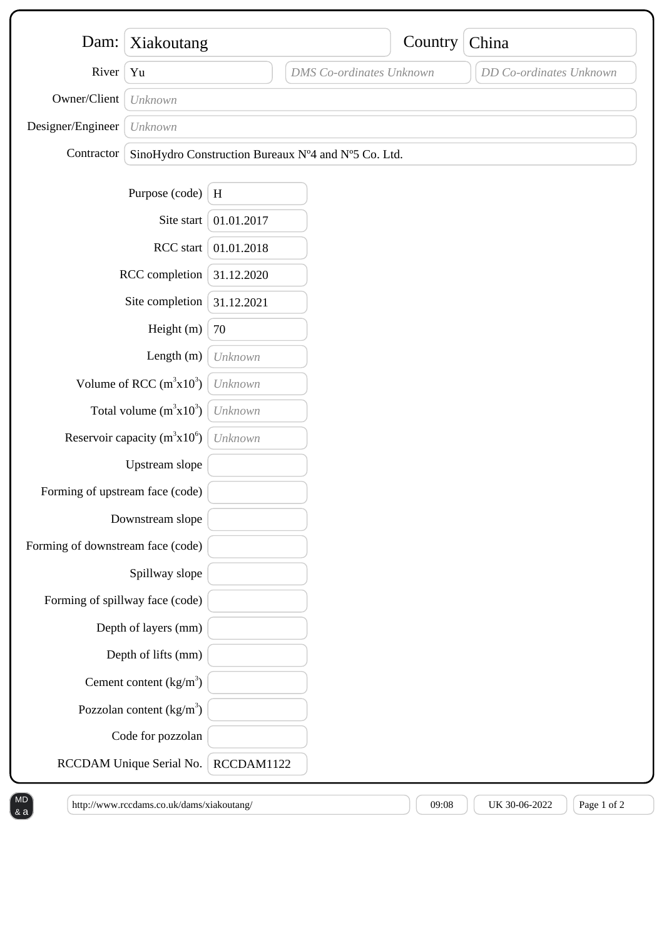| Dam:                              | Xiakoutang                                          |            |                                 | Country | China                   |
|-----------------------------------|-----------------------------------------------------|------------|---------------------------------|---------|-------------------------|
| River                             | Yu                                                  |            | <b>DMS</b> Co-ordinates Unknown |         | DD Co-ordinates Unknown |
| Owner/Client                      | Unknown                                             |            |                                 |         |                         |
| Designer/Engineer                 | Unknown                                             |            |                                 |         |                         |
| Contractor                        | SinoHydro Construction Bureaux N°4 and N°5 Co. Ltd. |            |                                 |         |                         |
|                                   | Purpose (code)                                      | $\,$ H     |                                 |         |                         |
|                                   | Site start                                          | 01.01.2017 |                                 |         |                         |
|                                   | RCC start                                           | 01.01.2018 |                                 |         |                         |
| RCC completion                    |                                                     | 31.12.2020 |                                 |         |                         |
| Site completion                   |                                                     | 31.12.2021 |                                 |         |                         |
|                                   | Height (m)                                          | 70         |                                 |         |                         |
|                                   | Length (m)                                          | Unknown    |                                 |         |                         |
|                                   | Volume of RCC $(m^3x10^3)$                          | Unknown    |                                 |         |                         |
|                                   | Total volume $(m^3x10^3)$                           | Unknown    |                                 |         |                         |
|                                   | Reservoir capacity $(m^3x10^6)$                     | Unknown    |                                 |         |                         |
|                                   | Upstream slope                                      |            |                                 |         |                         |
| Forming of upstream face (code)   |                                                     |            |                                 |         |                         |
|                                   | Downstream slope                                    |            |                                 |         |                         |
| Forming of downstream face (code) |                                                     |            |                                 |         |                         |
|                                   | Spillway slope                                      |            |                                 |         |                         |
| Forming of spillway face (code)   |                                                     |            |                                 |         |                         |
|                                   | Depth of layers (mm)                                |            |                                 |         |                         |
|                                   | Depth of lifts (mm)                                 |            |                                 |         |                         |
|                                   | Cement content $(kg/m3)$                            |            |                                 |         |                         |
|                                   | Pozzolan content $\frac{kg}{m^3}$                   |            |                                 |         |                         |
|                                   | Code for pozzolan                                   |            |                                 |         |                         |
|                                   | RCCDAM Unique Serial No.                            | RCCDAM1122 |                                 |         |                         |

http://www.rccdams.co.uk/dams/xiakoutang/  $(109.08)$   $(109.08)$  UK 30-06-2022  $(108.08)$  Page 1 of 2

 $8a$